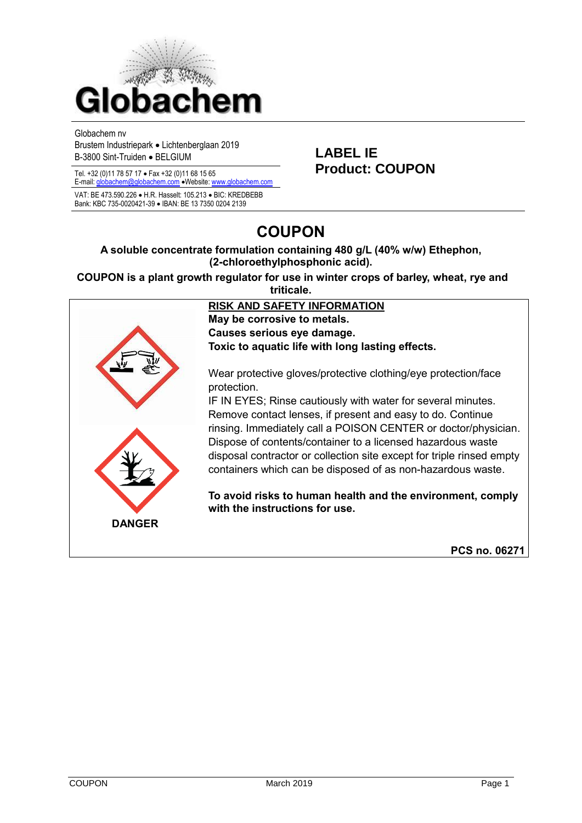

Globachem nv

Brustem Industriepark • Lichtenberglaan 2019 B-3800 Sint-Truiden • BELGIUM **LABEL IE**

E-mail[: globachem@globachem.com](mailto:globachem@globachem.com) •Website[: www.globachem.com](mailto:globachem@globachem.com) VAT: BE 473.590.226 • H.R. Hasselt: 105.213 • BIC: KREDBEBB Bank: KBC 735-0020421-39 • IBAN: BE 13 7350 0204 2139

# Tel. +32 (0)11 78 57 17 • Fax +32 (0)11 68 15 65 **Product: COUPON**

## **COUPON**

#### **A soluble concentrate formulation containing 480 g/L (40% w/w) Ethephon, (2-chloroethylphosphonic acid).**

**COUPON is a plant growth regulator for use in winter crops of barley, wheat, rye and triticale.**

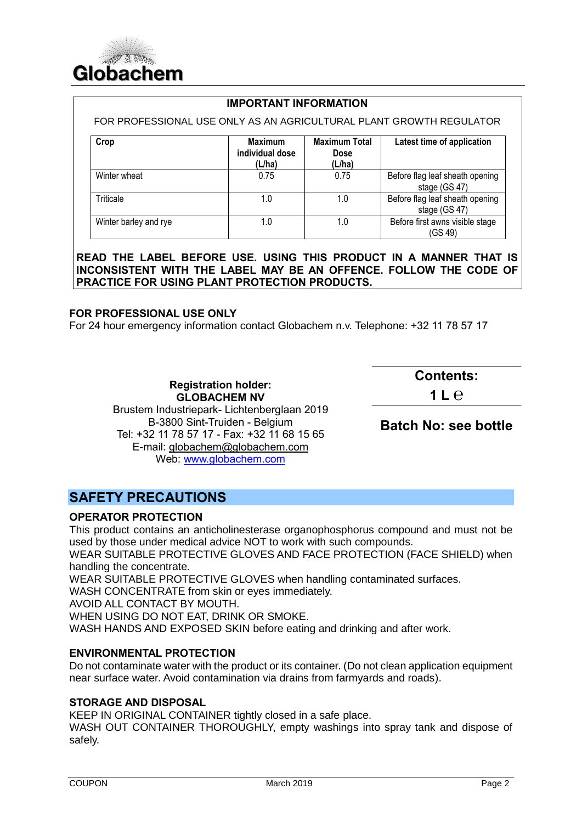

#### **IMPORTANT INFORMATION**

FOR PROFESSIONAL USE ONLY AS AN AGRICULTURAL PLANT GROWTH REGULATOR

| Crop                  | Maximum<br>individual dose<br>(L/ha) | <b>Maximum Total</b><br><b>Dose</b><br>(L/ha) | Latest time of application                       |
|-----------------------|--------------------------------------|-----------------------------------------------|--------------------------------------------------|
| Winter wheat          | 0.75                                 | 0.75                                          | Before flag leaf sheath opening<br>stage (GS 47) |
| Triticale             | 1.0                                  | 1.0                                           | Before flag leaf sheath opening<br>stage (GS 47) |
| Winter barley and rye | 1.0                                  | 1.0                                           | Before first awns visible stage<br>(GS 49)       |

**READ THE LABEL BEFORE USE. USING THIS PRODUCT IN A MANNER THAT IS INCONSISTENT WITH THE LABEL MAY BE AN OFFENCE. FOLLOW THE CODE OF PRACTICE FOR USING PLANT PROTECTION PRODUCTS.**

#### **FOR PROFESSIONAL USE ONLY**

For 24 hour emergency information contact Globachem n.v. Telephone: +32 11 78 57 17

### **Contents:**

**1 L ℮**

**GLOBACHEM NV** Brustem Industriepark- Lichtenberglaan 2019 B-3800 Sint-Truiden - Belgium Tel: +32 11 78 57 17 - Fax: +32 11 68 15 65 E-mail: [globachem@globachem.com](mailto:globachem@globachem.com) Web: [www.globachem.com](http://www.globachem.com/)

**Registration holder:** 

**Batch No: see bottle**

## **SAFETY PRECAUTIONS**

#### **OPERATOR PROTECTION**

This product contains an anticholinesterase organophosphorus compound and must not be used by those under medical advice NOT to work with such compounds.

WEAR SUITABLE PROTECTIVE GLOVES AND FACE PROTECTION (FACE SHIELD) when handling the concentrate.

WEAR SUITABLE PROTECTIVE GLOVES when handling contaminated surfaces.

WASH CONCENTRATE from skin or eyes immediately.

AVOID ALL CONTACT BY MOUTH.

WHEN USING DO NOT EAT, DRINK OR SMOKE.

WASH HANDS AND EXPOSED SKIN before eating and drinking and after work.

#### **ENVIRONMENTAL PROTECTION**

Do not contaminate water with the product or its container. (Do not clean application equipment near surface water. Avoid contamination via drains from farmyards and roads).

#### **STORAGE AND DISPOSAL**

KEEP IN ORIGINAL CONTAINER tightly closed in a safe place.

WASH OUT CONTAINER THOROUGHLY, empty washings into spray tank and dispose of safely.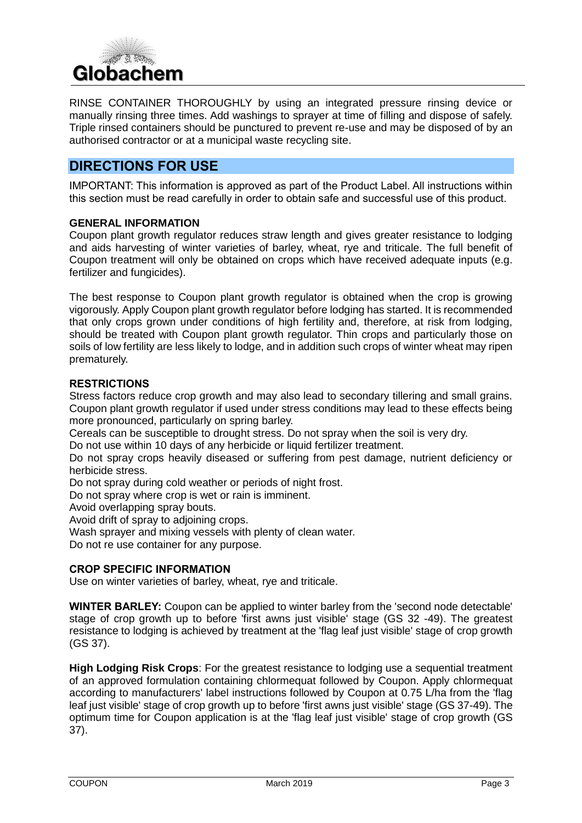

RINSE CONTAINER THOROUGHLY by using an integrated pressure rinsing device or manually rinsing three times. Add washings to sprayer at time of filling and dispose of safely. Triple rinsed containers should be punctured to prevent re-use and may be disposed of by an authorised contractor or at a municipal waste recycling site.

## **DIRECTIONS FOR USE**

IMPORTANT: This information is approved as part of the Product Label. All instructions within this section must be read carefully in order to obtain safe and successful use of this product.

#### **GENERAL INFORMATION**

Coupon plant growth regulator reduces straw length and gives greater resistance to lodging and aids harvesting of winter varieties of barley, wheat, rye and triticale. The full benefit of Coupon treatment will only be obtained on crops which have received adequate inputs (e.g. fertilizer and fungicides).

The best response to Coupon plant growth regulator is obtained when the crop is growing vigorously. Apply Coupon plant growth regulator before lodging has started. It is recommended that only crops grown under conditions of high fertility and, therefore, at risk from lodging, should be treated with Coupon plant growth regulator. Thin crops and particularly those on soils of low fertility are less likely to lodge, and in addition such crops of winter wheat may ripen prematurely.

#### **RESTRICTIONS**

Stress factors reduce crop growth and may also lead to secondary tillering and small grains. Coupon plant growth regulator if used under stress conditions may lead to these effects being more pronounced, particularly on spring barley.

Cereals can be susceptible to drought stress. Do not spray when the soil is very dry.

Do not use within 10 days of any herbicide or liquid fertilizer treatment.

Do not spray crops heavily diseased or suffering from pest damage, nutrient deficiency or herbicide stress.

Do not spray during cold weather or periods of night frost.

Do not spray where crop is wet or rain is imminent.

Avoid overlapping spray bouts.

Avoid drift of spray to adjoining crops.

Wash sprayer and mixing vessels with plenty of clean water.

Do not re use container for any purpose.

#### **CROP SPECIFIC INFORMATION**

Use on winter varieties of barley, wheat, rye and triticale.

**WINTER BARLEY:** Coupon can be applied to winter barley from the 'second node detectable' stage of crop growth up to before 'first awns just visible' stage (GS 32 -49). The greatest resistance to lodging is achieved by treatment at the 'flag leaf just visible' stage of crop growth (GS 37).

**High Lodging Risk Crops**: For the greatest resistance to lodging use a sequential treatment of an approved formulation containing chlormequat followed by Coupon. Apply chlormequat according to manufacturers' label instructions followed by Coupon at 0.75 L/ha from the 'flag leaf just visible' stage of crop growth up to before 'first awns just visible' stage (GS 37-49). The optimum time for Coupon application is at the 'flag leaf just visible' stage of crop growth (GS 37).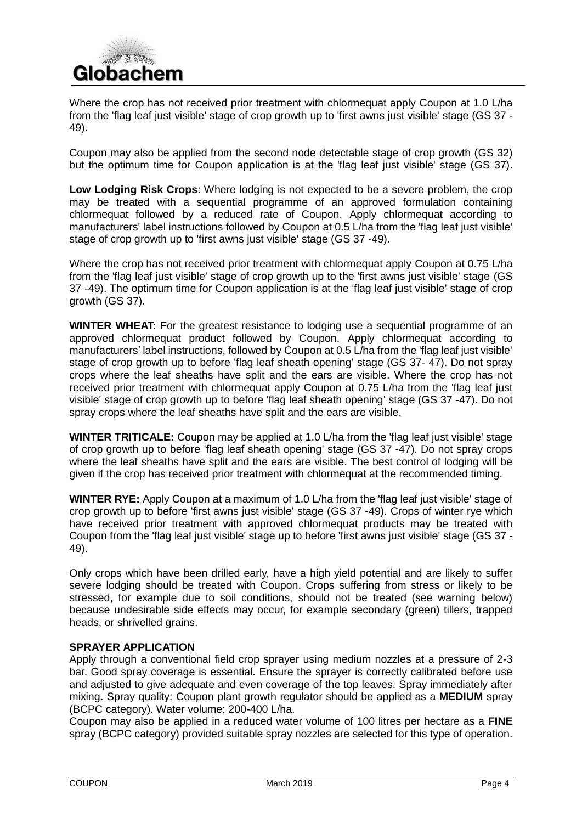

Where the crop has not received prior treatment with chlormequat apply Coupon at 1.0 L/ha from the 'flag leaf just visible' stage of crop growth up to 'first awns just visible' stage (GS 37 - 49).

Coupon may also be applied from the second node detectable stage of crop growth (GS 32) but the optimum time for Coupon application is at the 'flag leaf just visible' stage (GS 37).

**Low Lodging Risk Crops**: Where lodging is not expected to be a severe problem, the crop may be treated with a sequential programme of an approved formulation containing chlormequat followed by a reduced rate of Coupon. Apply chlormequat according to manufacturers' label instructions followed by Coupon at 0.5 L/ha from the 'flag leaf just visible' stage of crop growth up to 'first awns just visible' stage (GS 37 -49).

Where the crop has not received prior treatment with chlormequat apply Coupon at 0.75 L/ha from the 'flag leaf just visible' stage of crop growth up to the 'first awns just visible' stage (GS 37 -49). The optimum time for Coupon application is at the 'flag leaf just visible' stage of crop growth (GS 37).

**WINTER WHEAT:** For the greatest resistance to lodging use a sequential programme of an approved chlormequat product followed by Coupon. Apply chlormequat according to manufacturers' label instructions, followed by Coupon at 0.5 L/ha from the 'flag leaf just visible' stage of crop growth up to before 'flag leaf sheath opening' stage (GS 37- 47). Do not spray crops where the leaf sheaths have split and the ears are visible. Where the crop has not received prior treatment with chlormequat apply Coupon at 0.75 L/ha from the 'flag leaf just visible' stage of crop growth up to before 'flag leaf sheath opening' stage (GS 37 -47). Do not spray crops where the leaf sheaths have split and the ears are visible.

**WINTER TRITICALE:** Coupon may be applied at 1.0 L/ha from the 'flag leaf just visible' stage of crop growth up to before 'flag leaf sheath opening' stage (GS 37 -47). Do not spray crops where the leaf sheaths have split and the ears are visible. The best control of lodging will be given if the crop has received prior treatment with chlormequat at the recommended timing.

**WINTER RYE:** Apply Coupon at a maximum of 1.0 L/ha from the 'flag leaf just visible' stage of crop growth up to before 'first awns just visible' stage (GS 37 -49). Crops of winter rye which have received prior treatment with approved chlormequat products may be treated with Coupon from the 'flag leaf just visible' stage up to before 'first awns just visible' stage (GS 37 - 49).

Only crops which have been drilled early, have a high yield potential and are likely to suffer severe lodging should be treated with Coupon. Crops suffering from stress or likely to be stressed, for example due to soil conditions, should not be treated (see warning below) because undesirable side effects may occur, for example secondary (green) tillers, trapped heads, or shrivelled grains.

#### **SPRAYER APPLICATION**

Apply through a conventional field crop sprayer using medium nozzles at a pressure of 2-3 bar. Good spray coverage is essential. Ensure the sprayer is correctly calibrated before use and adjusted to give adequate and even coverage of the top leaves. Spray immediately after mixing. Spray quality: Coupon plant growth regulator should be applied as a **MEDIUM** spray (BCPC category). Water volume: 200-400 L/ha.

Coupon may also be applied in a reduced water volume of 100 litres per hectare as a **FINE**  spray (BCPC category) provided suitable spray nozzles are selected for this type of operation.